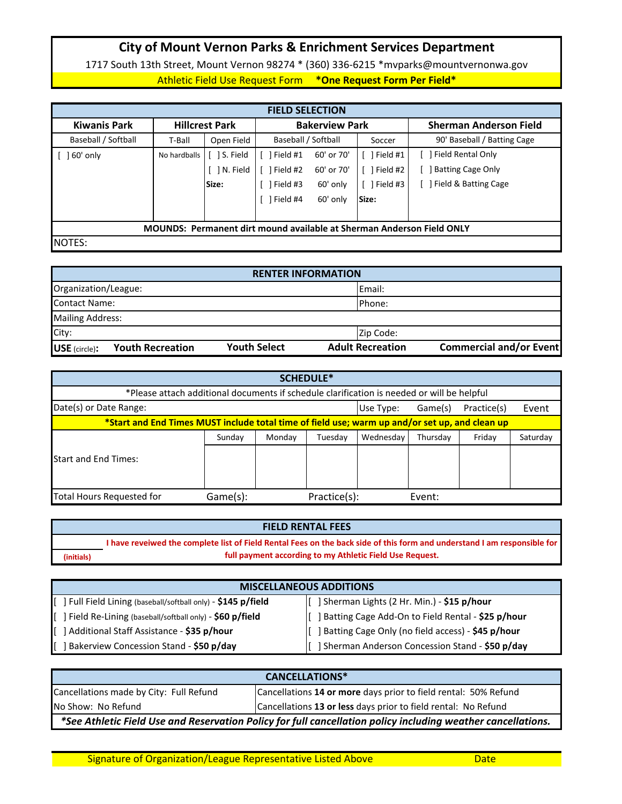## **City of Mount Vernon Parks & Enrichment Services Department**

Athletic Field Use Request Form **\*One Request Form Per Field\*** 1717 South 13th Street, Mount Vernon 98274 \* (360) 336-6215 \*mvparks@mountvernonwa.gov

| <b>FIELD SELECTION</b>                                                       |              |                       |                       |            |          |                               |  |
|------------------------------------------------------------------------------|--------------|-----------------------|-----------------------|------------|----------|-------------------------------|--|
| <b>Kiwanis Park</b>                                                          |              | <b>Hillcrest Park</b> | <b>Bakerview Park</b> |            |          | <b>Sherman Anderson Field</b> |  |
| Baseball / Softball                                                          | T-Ball       | Open Field            | Baseball / Softball   |            | Soccer   | 90' Baseball / Batting Cage   |  |
| 60' only                                                                     | No hardballs | S. Field              | Field #1              | 60' or 70' | Field #1 | Field Rental Only             |  |
|                                                                              |              | N. Field              | Field #2              | 60' or 70' | Field #2 | <b>Batting Cage Only</b>      |  |
|                                                                              |              | Size:                 | Field #3              | 60' only   | Field #3 | Field & Batting Cage          |  |
|                                                                              |              |                       | Field #4              | 60' only   | Size:    |                               |  |
|                                                                              |              |                       |                       |            |          |                               |  |
| <b>MOUNDS: Permanent dirt mound available at Sherman Anderson Field ONLY</b> |              |                       |                       |            |          |                               |  |
| NOTES:                                                                       |              |                       |                       |            |          |                               |  |

| <b>RENTER INFORMATION</b>                  |                     |                         |                                |  |  |
|--------------------------------------------|---------------------|-------------------------|--------------------------------|--|--|
| Organization/League:                       |                     | <b>IEmail:</b>          |                                |  |  |
| Contact Name:                              |                     | <b>IPhone:</b>          |                                |  |  |
| Mailing Address:                           |                     |                         |                                |  |  |
| City:                                      |                     | Zip Code:               |                                |  |  |
| <b>Youth Recreation</b><br>$USE$ (circle): | <b>Youth Select</b> | <b>Adult Recreation</b> | <b>Commercial and/or Event</b> |  |  |

| <b>SCHEDULE*</b>                                                                               |          |        |              |           |          |             |          |
|------------------------------------------------------------------------------------------------|----------|--------|--------------|-----------|----------|-------------|----------|
| *Please attach additional documents if schedule clarification is needed or will be helpful     |          |        |              |           |          |             |          |
| Date(s) or Date Range:                                                                         |          |        |              | Use Type: | Game(s)  | Practice(s) | Event    |
| *Start and End Times MUST include total time of field use; warm up and/or set up, and clean up |          |        |              |           |          |             |          |
|                                                                                                | Sunday   | Monday | Tuesday      | Wednesday | Thursday | Friday      | Saturday |
| <b>Start and End Times:</b>                                                                    |          |        |              |           |          |             |          |
| <b>Total Hours Requested for</b>                                                               | Game(s): |        | Practice(s): | Event:    |          |             |          |

|            | <b>FIELD RENTAL FEES</b>                                                                                                 |
|------------|--------------------------------------------------------------------------------------------------------------------------|
|            | I have reveiwed the complete list of Field Rental Fees on the back side of this form and understand I am responsible for |
| (initials) | full payment according to my Athletic Field Use Request.                                                                 |

| <b>MISCELLANEOUS ADDITIONS</b>                                 |                                                     |  |  |  |
|----------------------------------------------------------------|-----------------------------------------------------|--|--|--|
| [ ] Full Field Lining (baseball/softball only) - \$145 p/field | [ ] Sherman Lights (2 Hr. Min.) - \$15 p/hour       |  |  |  |
| ] Field Re-Lining (baseball/softball only) - \$60 p/field<br>Ш | ] Batting Cage Add-On to Field Rental - \$25 p/hour |  |  |  |
| Additional Staff Assistance - \$35 p/hour                      | ] Batting Cage Only (no field access) - \$45 p/hour |  |  |  |
| Bakerview Concession Stand - \$50 p/day                        | ] Sherman Anderson Concession Stand - \$50 p/day    |  |  |  |

| <b>CANCELLATIONS*</b>                                                                                        |                                                                 |  |  |  |
|--------------------------------------------------------------------------------------------------------------|-----------------------------------------------------------------|--|--|--|
| Cancellations made by City: Full Refund                                                                      | Cancellations 14 or more days prior to field rental: 50% Refund |  |  |  |
| No Show: No Refund                                                                                           | Cancellations 13 or less days prior to field rental: No Refund  |  |  |  |
| *See Athletic Field Use and Reservation Policy for full cancellation policy including weather cancellations. |                                                                 |  |  |  |